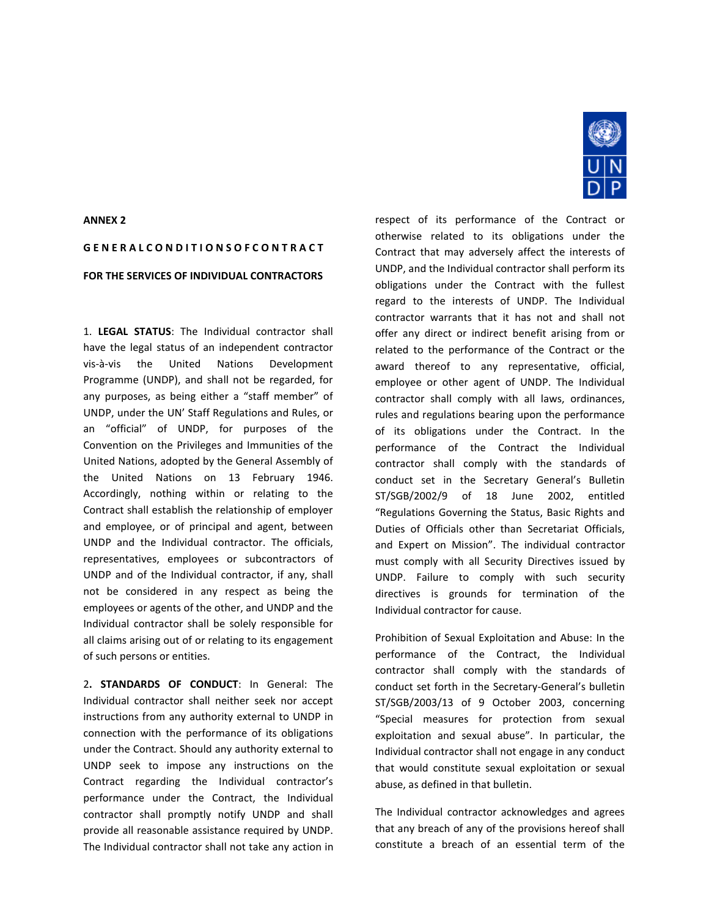## **ANNEX 2**

## **G E N E R A L C O N D I T I O N S O F C O N T R A C T FOR THE SERVICES OF INDIVIDUAL CONTRACTORS**

1. **LEGAL STATUS**: The Individual contractor shall have the legal status of an independent contractor vis-à-vis the United Nations Development Programme (UNDP), and shall not be regarded, for any purposes, as being either a "staff member" of UNDP, under the UN' Staff Regulations and Rules, or an "official" of UNDP, for purposes of the Convention on the Privileges and Immunities of the United Nations, adopted by the General Assembly of the United Nations on 13 February 1946. Accordingly, nothing within or relating to the Contract shall establish the relationship of employer and employee, or of principal and agent, between UNDP and the Individual contractor. The officials, representatives, employees or subcontractors of UNDP and of the Individual contractor, if any, shall not be considered in any respect as being the employees or agents of the other, and UNDP and the Individual contractor shall be solely responsible for all claims arising out of or relating to its engagement of such persons or entities.

2**. STANDARDS OF CONDUCT**: In General: The Individual contractor shall neither seek nor accept instructions from any authority external to UNDP in connection with the performance of its obligations under the Contract. Should any authority external to UNDP seek to impose any instructions on the Contract regarding the Individual contractor's performance under the Contract, the Individual contractor shall promptly notify UNDP and shall provide all reasonable assistance required by UNDP. The Individual contractor shall not take any action in



respect of its performance of the Contract or otherwise related to its obligations under the Contract that may adversely affect the interests of UNDP, and the Individual contractor shall perform its obligations under the Contract with the fullest regard to the interests of UNDP. The Individual contractor warrants that it has not and shall not offer any direct or indirect benefit arising from or related to the performance of the Contract or the award thereof to any representative, official, employee or other agent of UNDP. The Individual contractor shall comply with all laws, ordinances, rules and regulations bearing upon the performance of its obligations under the Contract. In the performance of the Contract the Individual contractor shall comply with the standards of conduct set in the Secretary General's Bulletin ST/SGB/2002/9 of 18 June 2002, entitled "Regulations Governing the Status, Basic Rights and Duties of Officials other than Secretariat Officials, and Expert on Mission". The individual contractor must comply with all Security Directives issued by UNDP. Failure to comply with such security directives is grounds for termination of the Individual contractor for cause.

Prohibition of Sexual Exploitation and Abuse: In the performance of the Contract, the Individual contractor shall comply with the standards of conduct set forth in the Secretary-General's bulletin ST/SGB/2003/13 of 9 October 2003, concerning "Special measures for protection from sexual exploitation and sexual abuse". In particular, the Individual contractor shall not engage in any conduct that would constitute sexual exploitation or sexual abuse, as defined in that bulletin.

The Individual contractor acknowledges and agrees that any breach of any of the provisions hereof shall constitute a breach of an essential term of the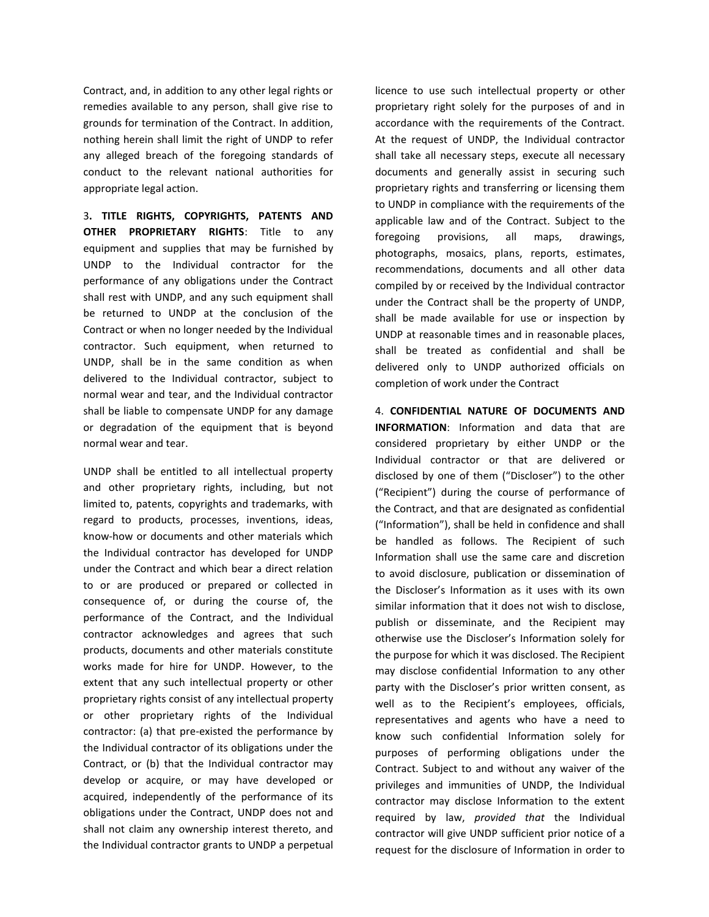Contract, and, in addition to any other legal rights or remedies available to any person, shall give rise to grounds for termination of the Contract. In addition, nothing herein shall limit the right of UNDP to refer any alleged breach of the foregoing standards of conduct to the relevant national authorities for appropriate legal action.

3**. TITLE RIGHTS, COPYRIGHTS, PATENTS AND OTHER PROPRIETARY RIGHTS**: Title to any equipment and supplies that may be furnished by UNDP to the Individual contractor for the performance of any obligations under the Contract shall rest with UNDP, and any such equipment shall be returned to UNDP at the conclusion of the Contract or when no longer needed by the Individual contractor. Such equipment, when returned to UNDP, shall be in the same condition as when delivered to the Individual contractor, subject to normal wear and tear, and the Individual contractor shall be liable to compensate UNDP for any damage or degradation of the equipment that is beyond normal wear and tear.

UNDP shall be entitled to all intellectual property and other proprietary rights, including, but not limited to, patents, copyrights and trademarks, with regard to products, processes, inventions, ideas, know-how or documents and other materials which the Individual contractor has developed for UNDP under the Contract and which bear a direct relation to or are produced or prepared or collected in consequence of, or during the course of, the performance of the Contract, and the Individual contractor acknowledges and agrees that such products, documents and other materials constitute works made for hire for UNDP. However, to the extent that any such intellectual property or other proprietary rights consist of any intellectual property or other proprietary rights of the Individual contractor: (a) that pre-existed the performance by the Individual contractor of its obligations under the Contract, or (b) that the Individual contractor may develop or acquire, or may have developed or acquired, independently of the performance of its obligations under the Contract, UNDP does not and shall not claim any ownership interest thereto, and the Individual contractor grants to UNDP a perpetual

licence to use such intellectual property or other proprietary right solely for the purposes of and in accordance with the requirements of the Contract. At the request of UNDP, the Individual contractor shall take all necessary steps, execute all necessary documents and generally assist in securing such proprietary rights and transferring or licensing them to UNDP in compliance with the requirements of the applicable law and of the Contract. Subject to the foregoing provisions, all maps, drawings, photographs, mosaics, plans, reports, estimates, recommendations, documents and all other data compiled by or received by the Individual contractor under the Contract shall be the property of UNDP, shall be made available for use or inspection by UNDP at reasonable times and in reasonable places, shall be treated as confidential and shall be delivered only to UNDP authorized officials on completion of work under the Contract

4. **CONFIDENTIAL NATURE OF DOCUMENTS AND INFORMATION**: Information and data that are considered proprietary by either UNDP or the Individual contractor or that are delivered or disclosed by one of them ("Discloser") to the other ("Recipient") during the course of performance of the Contract, and that are designated as confidential ("Information"), shall be held in confidence and shall be handled as follows. The Recipient of such Information shall use the same care and discretion to avoid disclosure, publication or dissemination of the Discloser's Information as it uses with its own similar information that it does not wish to disclose, publish or disseminate, and the Recipient may otherwise use the Discloser's Information solely for the purpose for which it was disclosed. The Recipient may disclose confidential Information to any other party with the Discloser's prior written consent, as well as to the Recipient's employees, officials, representatives and agents who have a need to know such confidential Information solely for purposes of performing obligations under the Contract. Subject to and without any waiver of the privileges and immunities of UNDP, the Individual contractor may disclose Information to the extent required by law, *provided that* the Individual contractor will give UNDP sufficient prior notice of a request for the disclosure of Information in order to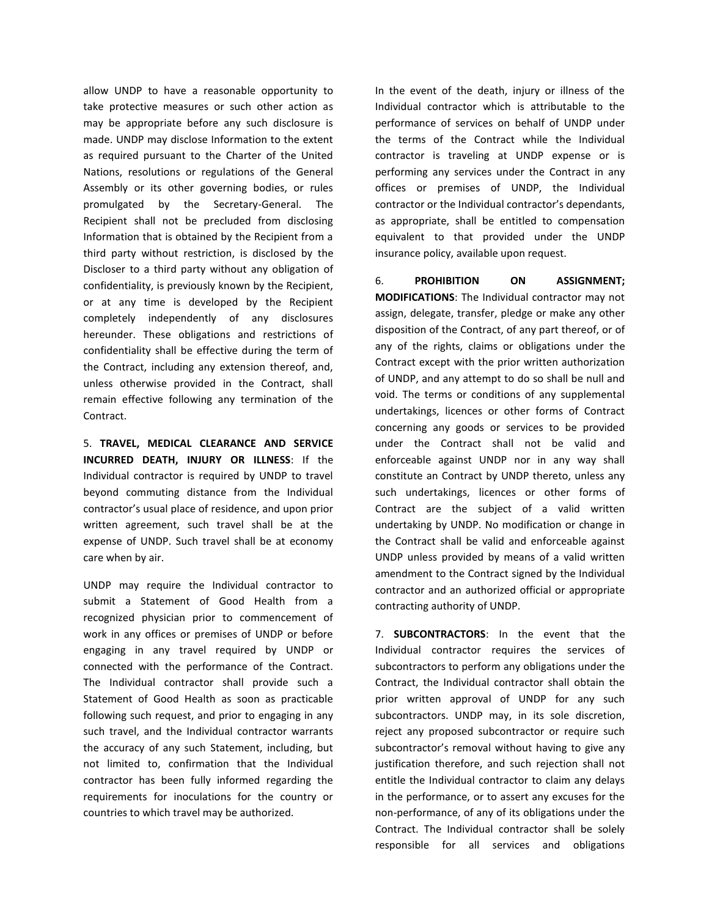allow UNDP to have a reasonable opportunity to take protective measures or such other action as may be appropriate before any such disclosure is made. UNDP may disclose Information to the extent as required pursuant to the Charter of the United Nations, resolutions or regulations of the General Assembly or its other governing bodies, or rules promulgated by the Secretary-General. The Recipient shall not be precluded from disclosing Information that is obtained by the Recipient from a third party without restriction, is disclosed by the Discloser to a third party without any obligation of confidentiality, is previously known by the Recipient, or at any time is developed by the Recipient completely independently of any disclosures hereunder. These obligations and restrictions of confidentiality shall be effective during the term of the Contract, including any extension thereof, and, unless otherwise provided in the Contract, shall remain effective following any termination of the Contract.

5. **TRAVEL, MEDICAL CLEARANCE AND SERVICE INCURRED DEATH, INJURY OR ILLNESS**: If the Individual contractor is required by UNDP to travel beyond commuting distance from the Individual contractor's usual place of residence, and upon prior written agreement, such travel shall be at the expense of UNDP. Such travel shall be at economy care when by air.

UNDP may require the Individual contractor to submit a Statement of Good Health from a recognized physician prior to commencement of work in any offices or premises of UNDP or before engaging in any travel required by UNDP or connected with the performance of the Contract. The Individual contractor shall provide such a Statement of Good Health as soon as practicable following such request, and prior to engaging in any such travel, and the Individual contractor warrants the accuracy of any such Statement, including, but not limited to, confirmation that the Individual contractor has been fully informed regarding the requirements for inoculations for the country or countries to which travel may be authorized.

In the event of the death, injury or illness of the Individual contractor which is attributable to the performance of services on behalf of UNDP under the terms of the Contract while the Individual contractor is traveling at UNDP expense or is performing any services under the Contract in any offices or premises of UNDP, the Individual contractor or the Individual contractor's dependants, as appropriate, shall be entitled to compensation equivalent to that provided under the UNDP insurance policy, available upon request.

6. **PROHIBITION ON ASSIGNMENT; MODIFICATIONS**: The Individual contractor may not assign, delegate, transfer, pledge or make any other disposition of the Contract, of any part thereof, or of any of the rights, claims or obligations under the Contract except with the prior written authorization of UNDP, and any attempt to do so shall be null and void. The terms or conditions of any supplemental undertakings, licences or other forms of Contract concerning any goods or services to be provided under the Contract shall not be valid and enforceable against UNDP nor in any way shall constitute an Contract by UNDP thereto, unless any such undertakings, licences or other forms of Contract are the subject of a valid written undertaking by UNDP. No modification or change in the Contract shall be valid and enforceable against UNDP unless provided by means of a valid written amendment to the Contract signed by the Individual contractor and an authorized official or appropriate contracting authority of UNDP.

7. **SUBCONTRACTORS**: In the event that the Individual contractor requires the services of subcontractors to perform any obligations under the Contract, the Individual contractor shall obtain the prior written approval of UNDP for any such subcontractors. UNDP may, in its sole discretion, reject any proposed subcontractor or require such subcontractor's removal without having to give any justification therefore, and such rejection shall not entitle the Individual contractor to claim any delays in the performance, or to assert any excuses for the non-performance, of any of its obligations under the Contract. The Individual contractor shall be solely responsible for all services and obligations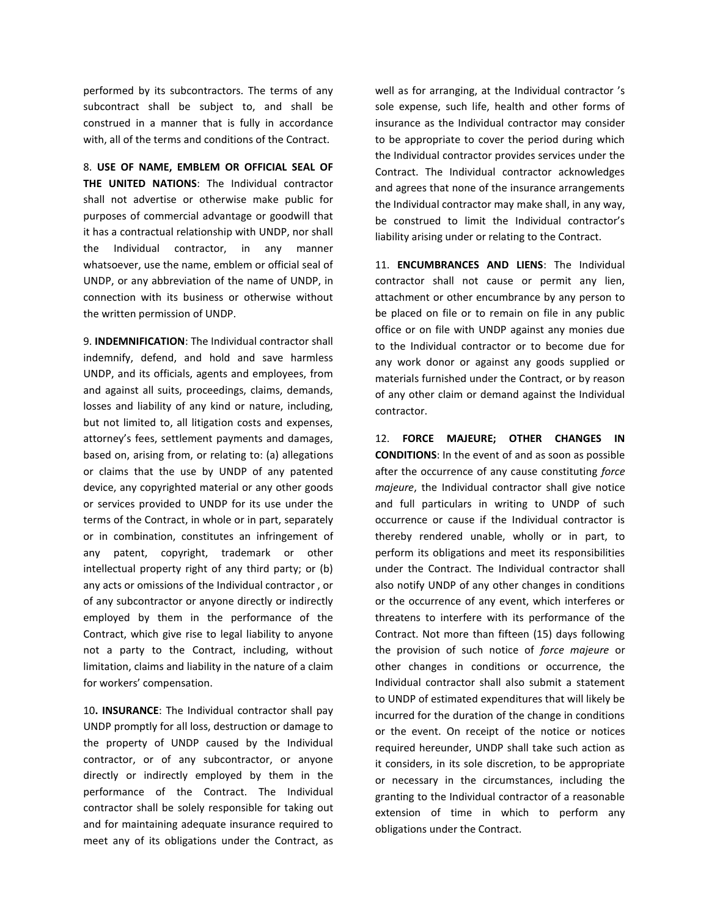performed by its subcontractors. The terms of any subcontract shall be subject to, and shall be construed in a manner that is fully in accordance with, all of the terms and conditions of the Contract.

8. **USE OF NAME, EMBLEM OR OFFICIAL SEAL OF THE UNITED NATIONS**: The Individual contractor shall not advertise or otherwise make public for purposes of commercial advantage or goodwill that it has a contractual relationship with UNDP, nor shall the Individual contractor, in any manner whatsoever, use the name, emblem or official seal of UNDP, or any abbreviation of the name of UNDP, in connection with its business or otherwise without the written permission of UNDP.

9. **INDEMNIFICATION**: The Individual contractor shall indemnify, defend, and hold and save harmless UNDP, and its officials, agents and employees, from and against all suits, proceedings, claims, demands, losses and liability of any kind or nature, including, but not limited to, all litigation costs and expenses, attorney's fees, settlement payments and damages, based on, arising from, or relating to: (a) allegations or claims that the use by UNDP of any patented device, any copyrighted material or any other goods or services provided to UNDP for its use under the terms of the Contract, in whole or in part, separately or in combination, constitutes an infringement of any patent, copyright, trademark or other intellectual property right of any third party; or (b) any acts or omissions of the Individual contractor , or of any subcontractor or anyone directly or indirectly employed by them in the performance of the Contract, which give rise to legal liability to anyone not a party to the Contract, including, without limitation, claims and liability in the nature of a claim for workers' compensation.

10**. INSURANCE**: The Individual contractor shall pay UNDP promptly for all loss, destruction or damage to the property of UNDP caused by the Individual contractor, or of any subcontractor, or anyone directly or indirectly employed by them in the performance of the Contract. The Individual contractor shall be solely responsible for taking out and for maintaining adequate insurance required to meet any of its obligations under the Contract, as

well as for arranging, at the Individual contractor 's sole expense, such life, health and other forms of insurance as the Individual contractor may consider to be appropriate to cover the period during which the Individual contractor provides services under the Contract. The Individual contractor acknowledges and agrees that none of the insurance arrangements the Individual contractor may make shall, in any way, be construed to limit the Individual contractor's liability arising under or relating to the Contract.

11. **ENCUMBRANCES AND LIENS**: The Individual contractor shall not cause or permit any lien, attachment or other encumbrance by any person to be placed on file or to remain on file in any public office or on file with UNDP against any monies due to the Individual contractor or to become due for any work donor or against any goods supplied or materials furnished under the Contract, or by reason of any other claim or demand against the Individual contractor.

12. **FORCE MAJEURE; OTHER CHANGES IN CONDITIONS**: In the event of and as soon as possible after the occurrence of any cause constituting *force majeure*, the Individual contractor shall give notice and full particulars in writing to UNDP of such occurrence or cause if the Individual contractor is thereby rendered unable, wholly or in part, to perform its obligations and meet its responsibilities under the Contract. The Individual contractor shall also notify UNDP of any other changes in conditions or the occurrence of any event, which interferes or threatens to interfere with its performance of the Contract. Not more than fifteen (15) days following the provision of such notice of *force majeure* or other changes in conditions or occurrence, the Individual contractor shall also submit a statement to UNDP of estimated expenditures that will likely be incurred for the duration of the change in conditions or the event. On receipt of the notice or notices required hereunder, UNDP shall take such action as it considers, in its sole discretion, to be appropriate or necessary in the circumstances, including the granting to the Individual contractor of a reasonable extension of time in which to perform any obligations under the Contract.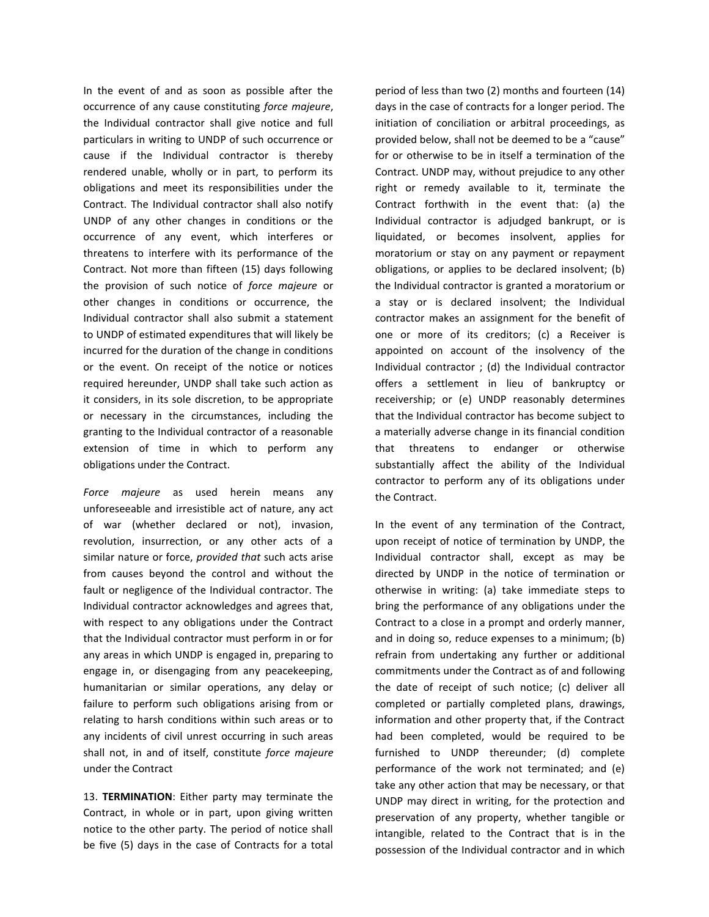In the event of and as soon as possible after the occurrence of any cause constituting *force majeure*, the Individual contractor shall give notice and full particulars in writing to UNDP of such occurrence or cause if the Individual contractor is thereby rendered unable, wholly or in part, to perform its obligations and meet its responsibilities under the Contract. The Individual contractor shall also notify UNDP of any other changes in conditions or the occurrence of any event, which interferes or threatens to interfere with its performance of the Contract. Not more than fifteen (15) days following the provision of such notice of *force majeure* or other changes in conditions or occurrence, the Individual contractor shall also submit a statement to UNDP of estimated expenditures that will likely be incurred for the duration of the change in conditions or the event. On receipt of the notice or notices required hereunder, UNDP shall take such action as it considers, in its sole discretion, to be appropriate or necessary in the circumstances, including the granting to the Individual contractor of a reasonable extension of time in which to perform any obligations under the Contract.

*Force majeure* as used herein means any unforeseeable and irresistible act of nature, any act of war (whether declared or not), invasion, revolution, insurrection, or any other acts of a similar nature or force, *provided that* such acts arise from causes beyond the control and without the fault or negligence of the Individual contractor. The Individual contractor acknowledges and agrees that, with respect to any obligations under the Contract that the Individual contractor must perform in or for any areas in which UNDP is engaged in, preparing to engage in, or disengaging from any peacekeeping, humanitarian or similar operations, any delay or failure to perform such obligations arising from or relating to harsh conditions within such areas or to any incidents of civil unrest occurring in such areas shall not, in and of itself, constitute *force majeure*  under the Contract

13. **TERMINATION**: Either party may terminate the Contract, in whole or in part, upon giving written notice to the other party. The period of notice shall be five (5) days in the case of Contracts for a total period of less than two (2) months and fourteen (14) days in the case of contracts for a longer period. The initiation of conciliation or arbitral proceedings, as provided below, shall not be deemed to be a "cause" for or otherwise to be in itself a termination of the Contract. UNDP may, without prejudice to any other right or remedy available to it, terminate the Contract forthwith in the event that: (a) the Individual contractor is adjudged bankrupt, or is liquidated, or becomes insolvent, applies for moratorium or stay on any payment or repayment obligations, or applies to be declared insolvent; (b) the Individual contractor is granted a moratorium or a stay or is declared insolvent; the Individual contractor makes an assignment for the benefit of one or more of its creditors; (c) a Receiver is appointed on account of the insolvency of the Individual contractor ; (d) the Individual contractor offers a settlement in lieu of bankruptcy or receivership; or (e) UNDP reasonably determines that the Individual contractor has become subject to a materially adverse change in its financial condition that threatens to endanger or otherwise substantially affect the ability of the Individual contractor to perform any of its obligations under the Contract.

In the event of any termination of the Contract, upon receipt of notice of termination by UNDP, the Individual contractor shall, except as may be directed by UNDP in the notice of termination or otherwise in writing: (a) take immediate steps to bring the performance of any obligations under the Contract to a close in a prompt and orderly manner, and in doing so, reduce expenses to a minimum; (b) refrain from undertaking any further or additional commitments under the Contract as of and following the date of receipt of such notice; (c) deliver all completed or partially completed plans, drawings, information and other property that, if the Contract had been completed, would be required to be furnished to UNDP thereunder; (d) complete performance of the work not terminated; and (e) take any other action that may be necessary, or that UNDP may direct in writing, for the protection and preservation of any property, whether tangible or intangible, related to the Contract that is in the possession of the Individual contractor and in which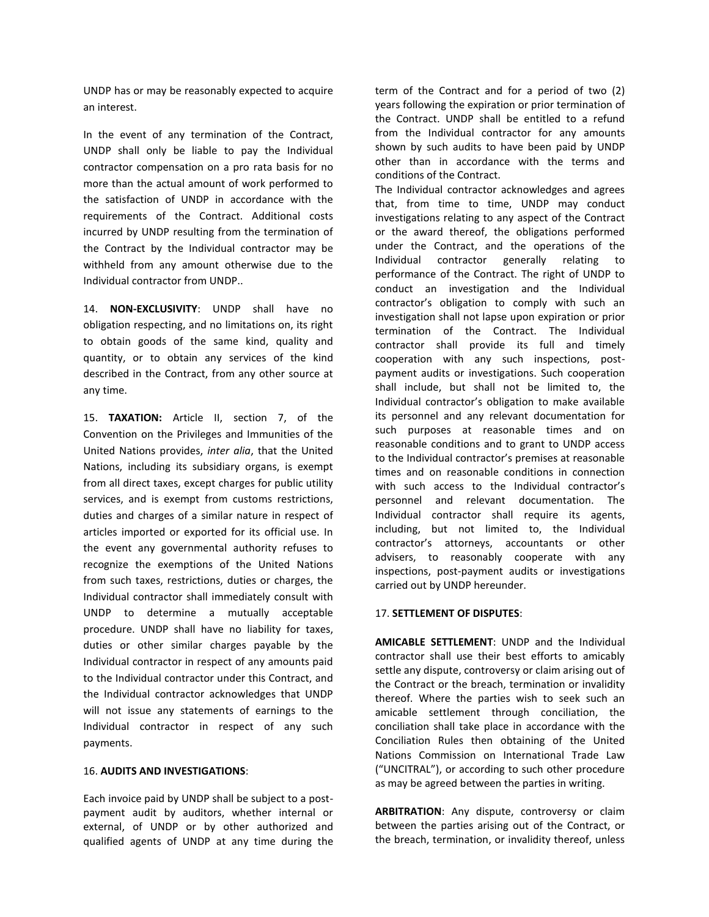UNDP has or may be reasonably expected to acquire an interest.

In the event of any termination of the Contract, UNDP shall only be liable to pay the Individual contractor compensation on a pro rata basis for no more than the actual amount of work performed to the satisfaction of UNDP in accordance with the requirements of the Contract. Additional costs incurred by UNDP resulting from the termination of the Contract by the Individual contractor may be withheld from any amount otherwise due to the Individual contractor from UNDP..

14. **NON-EXCLUSIVITY**: UNDP shall have no obligation respecting, and no limitations on, its right to obtain goods of the same kind, quality and quantity, or to obtain any services of the kind described in the Contract, from any other source at any time.

15. **TAXATION:** Article II, section 7, of the Convention on the Privileges and Immunities of the United Nations provides, *inter alia*, that the United Nations, including its subsidiary organs, is exempt from all direct taxes, except charges for public utility services, and is exempt from customs restrictions, duties and charges of a similar nature in respect of articles imported or exported for its official use. In the event any governmental authority refuses to recognize the exemptions of the United Nations from such taxes, restrictions, duties or charges, the Individual contractor shall immediately consult with UNDP to determine a mutually acceptable procedure. UNDP shall have no liability for taxes, duties or other similar charges payable by the Individual contractor in respect of any amounts paid to the Individual contractor under this Contract, and the Individual contractor acknowledges that UNDP will not issue any statements of earnings to the Individual contractor in respect of any such payments.

## 16. **AUDITS AND INVESTIGATIONS**:

Each invoice paid by UNDP shall be subject to a postpayment audit by auditors, whether internal or external, of UNDP or by other authorized and qualified agents of UNDP at any time during the

term of the Contract and for a period of two (2) years following the expiration or prior termination of the Contract. UNDP shall be entitled to a refund from the Individual contractor for any amounts shown by such audits to have been paid by UNDP other than in accordance with the terms and conditions of the Contract.

The Individual contractor acknowledges and agrees that, from time to time, UNDP may conduct investigations relating to any aspect of the Contract or the award thereof, the obligations performed under the Contract, and the operations of the Individual contractor generally relating to performance of the Contract. The right of UNDP to conduct an investigation and the Individual contractor's obligation to comply with such an investigation shall not lapse upon expiration or prior termination of the Contract. The Individual contractor shall provide its full and timely cooperation with any such inspections, postpayment audits or investigations. Such cooperation shall include, but shall not be limited to, the Individual contractor's obligation to make available its personnel and any relevant documentation for such purposes at reasonable times and on reasonable conditions and to grant to UNDP access to the Individual contractor's premises at reasonable times and on reasonable conditions in connection with such access to the Individual contractor's personnel and relevant documentation. The Individual contractor shall require its agents, including, but not limited to, the Individual contractor's attorneys, accountants or other advisers, to reasonably cooperate with any inspections, post-payment audits or investigations carried out by UNDP hereunder.

## 17. **SETTLEMENT OF DISPUTES**:

**AMICABLE SETTLEMENT**: UNDP and the Individual contractor shall use their best efforts to amicably settle any dispute, controversy or claim arising out of the Contract or the breach, termination or invalidity thereof. Where the parties wish to seek such an amicable settlement through conciliation, the conciliation shall take place in accordance with the Conciliation Rules then obtaining of the United Nations Commission on International Trade Law ("UNCITRAL"), or according to such other procedure as may be agreed between the parties in writing.

**ARBITRATION**: Any dispute, controversy or claim between the parties arising out of the Contract, or the breach, termination, or invalidity thereof, unless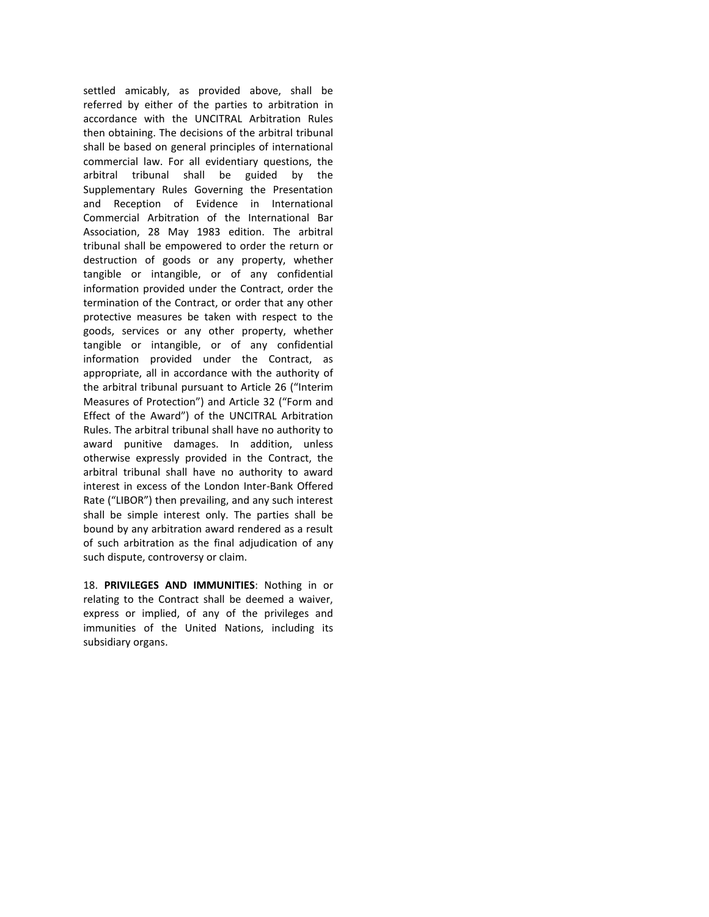settled amicably, as provided above, shall be referred by either of the parties to arbitration in accordance with the UNCITRAL Arbitration Rules then obtaining. The decisions of the arbitral tribunal shall be based on general principles of international commercial law. For all evidentiary questions, the arbitral tribunal shall be guided by the Supplementary Rules Governing the Presentation and Reception of Evidence in International Commercial Arbitration of the International Bar Association, 28 May 1983 edition. The arbitral tribunal shall be empowered to order the return or destruction of goods or any property, whether tangible or intangible, or of any confidential information provided under the Contract, order the termination of the Contract, or order that any other protective measures be taken with respect to the goods, services or any other property, whether tangible or intangible, or of any confidential information provided under the Contract, as appropriate, all in accordance with the authority of the arbitral tribunal pursuant to Article 26 ("Interim Measures of Protection") and Article 32 ("Form and Effect of the Award") of the UNCITRAL Arbitration Rules. The arbitral tribunal shall have no authority to award punitive damages. In addition, unless otherwise expressly provided in the Contract, the arbitral tribunal shall have no authority to award interest in excess of the London Inter-Bank Offered Rate ("LIBOR") then prevailing, and any such interest shall be simple interest only. The parties shall be bound by any arbitration award rendered as a result of such arbitration as the final adjudication of any such dispute, controversy or claim.

18. **PRIVILEGES AND IMMUNITIES**: Nothing in or relating to the Contract shall be deemed a waiver, express or implied, of any of the privileges and immunities of the United Nations, including its subsidiary organs.